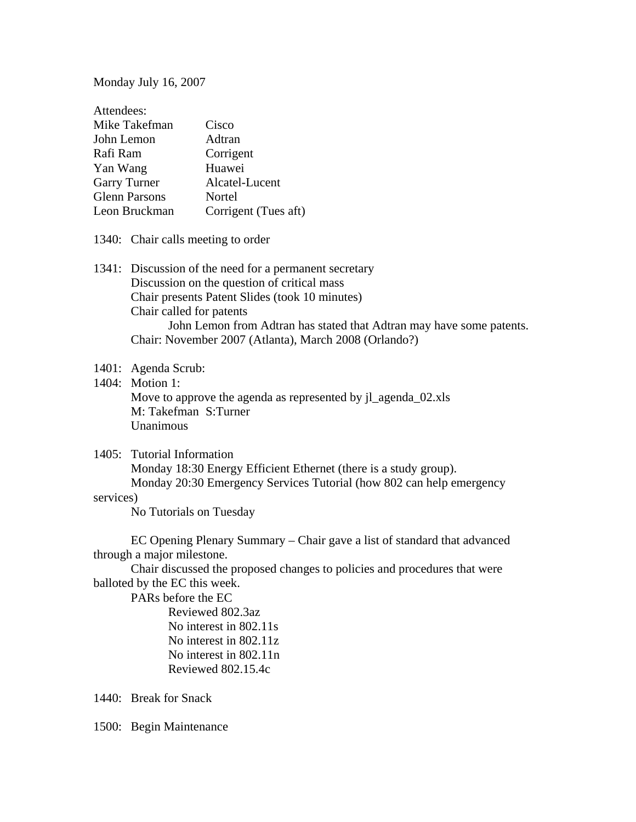Monday July 16, 2007

| Attendees:           |                      |
|----------------------|----------------------|
| Mike Takefman        | Cisco                |
| John Lemon           | Adtran               |
| Rafi Ram             | Corrigent            |
| Yan Wang             | Huawei               |
| <b>Garry Turner</b>  | Alcatel-Lucent       |
| <b>Glenn Parsons</b> | Nortel               |
| Leon Bruckman        | Corrigent (Tues aft) |

- 1340: Chair calls meeting to order
- 1341: Discussion of the need for a permanent secretary Discussion on the question of critical mass Chair presents Patent Slides (took 10 minutes) Chair called for patents John Lemon from Adtran has stated that Adtran may have some patents. Chair: November 2007 (Atlanta), March 2008 (Orlando?)

## 1401: Agenda Scrub:

1404: Motion 1:

 Move to approve the agenda as represented by jl\_agenda\_02.xls M: Takefman S:Turner **Unanimous** 

#### 1405: Tutorial Information

 Monday 18:30 Energy Efficient Ethernet (there is a study group). Monday 20:30 Emergency Services Tutorial (how 802 can help emergency

## services)

No Tutorials on Tuesday

 EC Opening Plenary Summary – Chair gave a list of standard that advanced through a major milestone.

 Chair discussed the proposed changes to policies and procedures that were balloted by the EC this week.

PARs before the EC

 Reviewed 802.3az No interest in 802.11s No interest in 802.11z No interest in 802.11n Reviewed 802.15.4c

1440: Break for Snack

1500: Begin Maintenance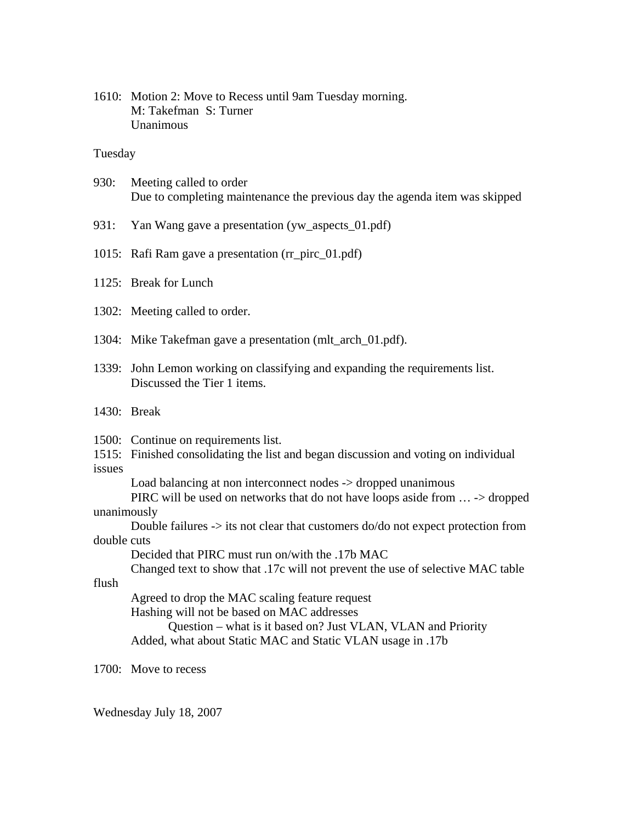1610: Motion 2: Move to Recess until 9am Tuesday morning. M: Takefman S: Turner Unanimous

## Tuesday

- 930: Meeting called to order Due to completing maintenance the previous day the agenda item was skipped
- 931: Yan Wang gave a presentation (yw\_aspects\_01.pdf)
- 1015: Rafi Ram gave a presentation (rr\_pirc\_01.pdf)
- 1125: Break for Lunch
- 1302: Meeting called to order.
- 1304: Mike Takefman gave a presentation (mlt\_arch\_01.pdf).
- 1339: John Lemon working on classifying and expanding the requirements list. Discussed the Tier 1 items.
- 1430: Break

1500: Continue on requirements list.

1515: Finished consolidating the list and began discussion and voting on individual issues

Load balancing at non interconnect nodes -> dropped unanimous

PIRC will be used on networks that do not have loops aside from ... -> dropped unanimously

 Double failures -> its not clear that customers do/do not expect protection from double cuts

Decided that PIRC must run on/with the .17b MAC

Changed text to show that .17c will not prevent the use of selective MAC table

flush

Agreed to drop the MAC scaling feature request

Hashing will not be based on MAC addresses

 Question – what is it based on? Just VLAN, VLAN and Priority Added, what about Static MAC and Static VLAN usage in .17b

1700: Move to recess

Wednesday July 18, 2007